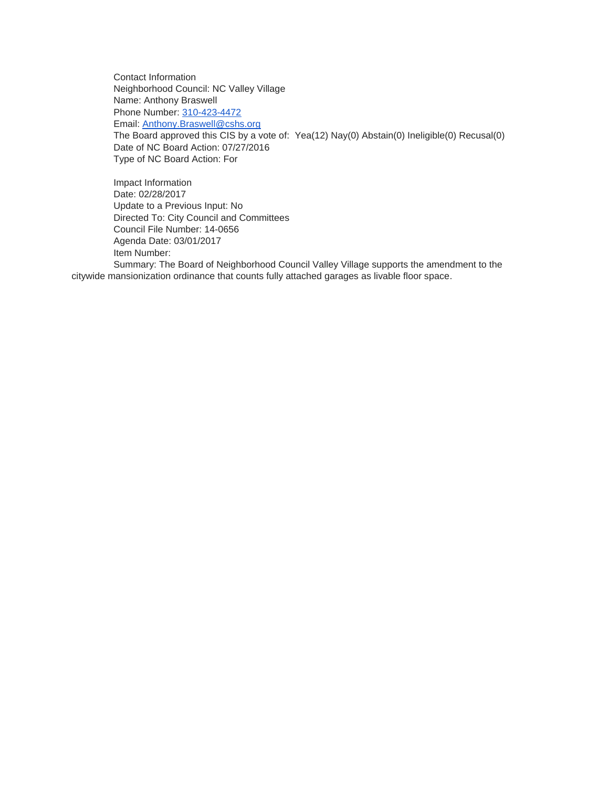Contact Information Neighborhood Council: NC Valley Village Name: Anthony Braswell Phone Number: [310-423-4472](tel:310-423-4472) Email: [Anthony.Braswell@cshs.org](mailto:Anthony.Braswell@cshs.org) The Board approved this CIS by a vote of: Yea(12) Nay(0) Abstain(0) Ineligible(0) Recusal(0) Date of NC Board Action: 07/27/2016 Type of NC Board Action: For

Impact Information Date: 02/28/2017 Update to a Previous Input: No Directed To: City Council and Committees Council File Number: 14-0656 Agenda Date: 03/01/2017 Item Number: Summary: The Board of Neighborhood Council Valley Village supports the amendment to the citywide mansionization ordinance that counts fully attached garages as livable floor space.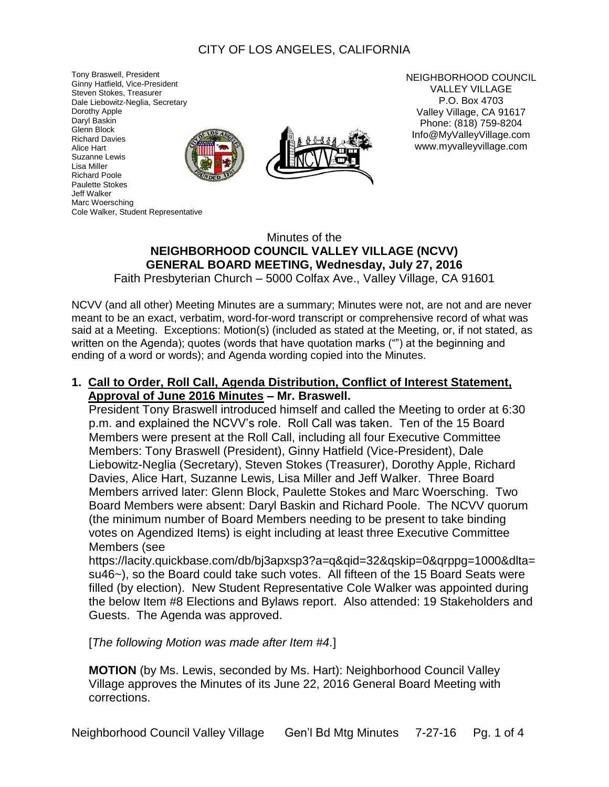# CITY OF LOS ANGELES, CALIFORNIA

Tony Braswell, President Ginny Hatfield, Vice-President Steven Stokes, Treasurer Dale Liebowitz-Neglia, Secretary Dorothy Apple Daryl Baskin Glenn Block Richard Davies Alice Hart Suzanne Lewis Lisa Miller Richard Poole Paulette Stokes Jeff Walker Marc Woersching Cole Walker, Student Representative



NEIGHBORHOOD COUNCIL VALLEY VILLAGE P.O. Box 4703 Valley Village, CA 91617 Phone: (818) 759-8204 Info@MyValleyVillage.com www.myvalleyvillage.com

# Minutes of the **NElGHBORHOOD COUNCIL VALLEY VILLAGE (NCVV) GENERAL BOARD MEETING, Wednesday, July 27, 2016**

Faith Presbyterian Church – 5000 Colfax Ave., Valley Village, CA 91601

NCVV (and all other) Meeting Minutes are a summary; Minutes were not, are not and are never meant to be an exact, verbatim, word-for-word transcript or comprehensive record of what was said at a Meeting. Exceptions: Motion(s) (included as stated at the Meeting, or, if not stated, as written on the Agenda); quotes (words that have quotation marks ("") at the beginning and ending of a word or words); and Agenda wording copied into the Minutes.

#### **1. Call to Order, Roll Call, Agenda Distribution, Conflict of Interest Statement, Approval of June 2016 Minutes – Mr. Braswell.**

President Tony Braswell introduced himself and called the Meeting to order at 6:30 p.m. and explained the NCVV's role. Roll Call was taken. Ten of the 15 Board Members were present at the Roll Call, including all four Executive Committee Members: Tony Braswell (President), Ginny Hatfield (Vice-President), Dale Liebowitz-Neglia (Secretary), Steven Stokes (Treasurer), Dorothy Apple, Richard Davies, Alice Hart, Suzanne Lewis, Lisa Miller and Jeff Walker. Three Board Members arrived later: Glenn Block, Paulette Stokes and Marc Woersching. Two Board Members were absent: Daryl Baskin and Richard Poole. The NCVV quorum (the minimum number of Board Members needing to be present to take binding votes on Agendized Items) is eight including at least three Executive Committee Members (see

https://lacity.quickbase.com/db/bj3apxsp3?a=q&qid=32&qskip=0&qrppg=1000&dlta= su46~), so the Board could take such votes. All fifteen of the 15 Board Seats were filled (by election). New Student Representative Cole Walker was appointed during the below Item #8 Elections and Bylaws report. Also attended: 19 Stakeholders and Guests. The Agenda was approved.

[*The following Motion was made after Item #4.*]

**MOTION** (by Ms. Lewis, seconded by Ms. Hart): Neighborhood Council Valley Village approves the Minutes of its June 22, 2016 General Board Meeting with corrections.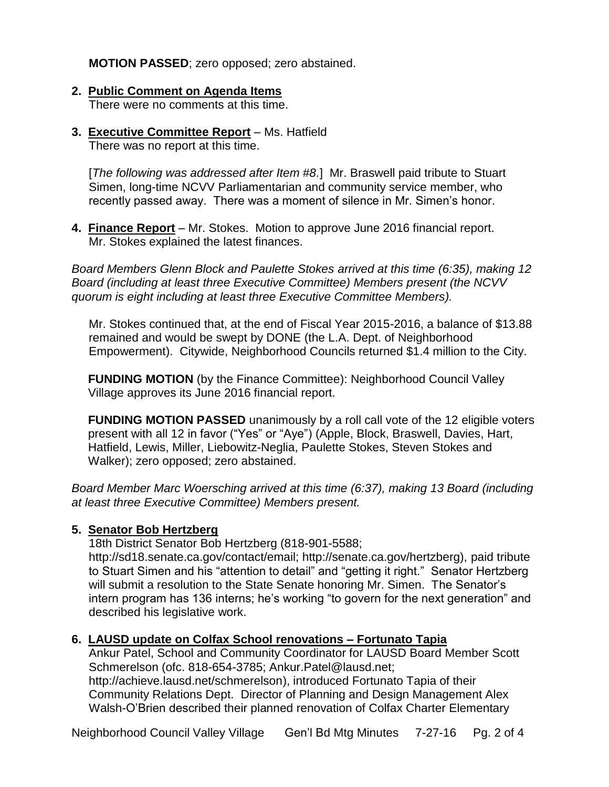**MOTION PASSED**; zero opposed; zero abstained.

- **2. Public Comment on Agenda Items** There were no comments at this time.
- **3. Executive Committee Report** Ms. Hatfield There was no report at this time.

[*The following was addressed after Item #8.*] Mr. Braswell paid tribute to Stuart Simen, long-time NCVV Parliamentarian and community service member, who recently passed away. There was a moment of silence in Mr. Simen's honor.

**4. Finance Report** – Mr. Stokes. Motion to approve June 2016 financial report. Mr. Stokes explained the latest finances.

*Board Members Glenn Block and Paulette Stokes arrived at this time (6:35), making 12 Board (including at least three Executive Committee) Members present (the NCVV quorum is eight including at least three Executive Committee Members).*

Mr. Stokes continued that, at the end of Fiscal Year 2015-2016, a balance of \$13.88 remained and would be swept by DONE (the L.A. Dept. of Neighborhood Empowerment). Citywide, Neighborhood Councils returned \$1.4 million to the City.

**FUNDING MOTION** (by the Finance Committee): Neighborhood Council Valley Village approves its June 2016 financial report.

**FUNDING MOTION PASSED** unanimously by a roll call vote of the 12 eligible voters present with all 12 in favor ("Yes" or "Aye") (Apple, Block, Braswell, Davies, Hart, Hatfield, Lewis, Miller, Liebowitz-Neglia, Paulette Stokes, Steven Stokes and Walker); zero opposed; zero abstained.

*Board Member Marc Woersching arrived at this time (6:37), making 13 Board (including at least three Executive Committee) Members present.*

# **5. Senator Bob Hertzberg**

18th District Senator Bob Hertzberg (818-901-5588;

http://sd18.senate.ca.gov/contact/email; http://senate.ca.gov/hertzberg), paid tribute to Stuart Simen and his "attention to detail" and "getting it right." Senator Hertzberg will submit a resolution to the State Senate honoring Mr. Simen. The Senator's intern program has 136 interns; he's working "to govern for the next generation" and described his legislative work.

# **6. LAUSD update on Colfax School renovations – Fortunato Tapia**

Ankur Patel, School and Community Coordinator for LAUSD Board Member Scott Schmerelson (ofc. 818-654-3785; Ankur.Patel@lausd.net; http://achieve.lausd.net/schmerelson), introduced Fortunato Tapia of their Community Relations Dept. Director of Planning and Design Management Alex Walsh-O'Brien described their planned renovation of Colfax Charter Elementary

Neighborhood Council Valley Village Gen'l Bd Mtg Minutes 7-27-16 Pg. 2 of 4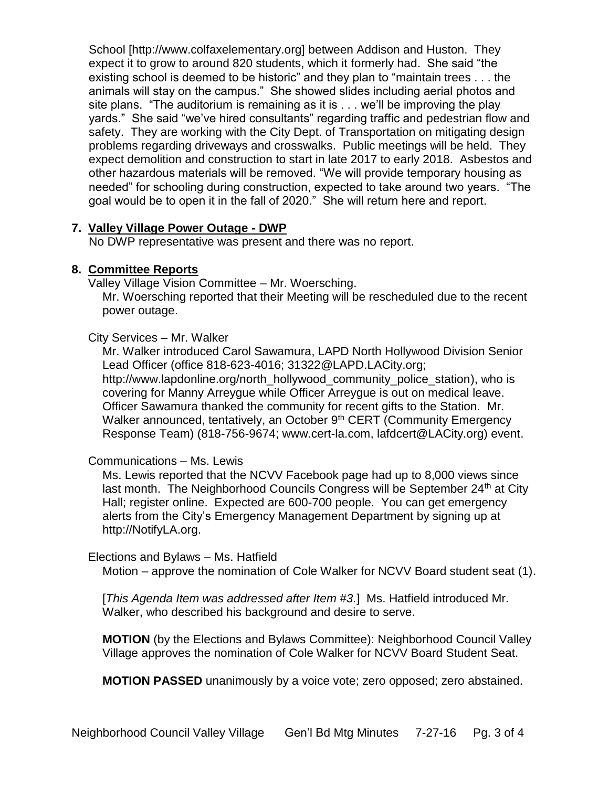School [http://www.colfaxelementary.org] between Addison and Huston. They expect it to grow to around 820 students, which it formerly had. She said "the existing school is deemed to be historic" and they plan to "maintain trees . . . the animals will stay on the campus." She showed slides including aerial photos and site plans. "The auditorium is remaining as it is . . . we'll be improving the play yards." She said "we've hired consultants" regarding traffic and pedestrian flow and safety. They are working with the City Dept. of Transportation on mitigating design problems regarding driveways and crosswalks. Public meetings will be held. They expect demolition and construction to start in late 2017 to early 2018. Asbestos and other hazardous materials will be removed. "We will provide temporary housing as needed" for schooling during construction, expected to take around two years. "The goal would be to open it in the fall of 2020." She will return here and report.

# **7. Valley Village Power Outage - DWP**

No DWP representative was present and there was no report.

# **8. Committee Reports**

Valley Village Vision Committee – Mr. Woersching.

Mr. Woersching reported that their Meeting will be rescheduled due to the recent power outage.

#### City Services – Mr. Walker

Mr. Walker introduced Carol Sawamura, LAPD North Hollywood Division Senior Lead Officer (office 818-623-4016; 31322@LAPD.LACity.org; http://www.lapdonline.org/north\_hollywood\_community\_police\_station), who is covering for Manny Arreygue while Officer Arreygue is out on medical leave. Officer Sawamura thanked the community for recent gifts to the Station. Mr. Walker announced, tentatively, an October 9<sup>th</sup> CERT (Community Emergency Response Team) (818-756-9674; www.cert-la.com, lafdcert@LACity.org) event.

# Communications – Ms. Lewis

Ms. Lewis reported that the NCVV Facebook page had up to 8,000 views since last month. The Neighborhood Councils Congress will be September 24<sup>th</sup> at City Hall; register online. Expected are 600-700 people. You can get emergency alerts from the City's Emergency Management Department by signing up at http://NotifyLA.org.

#### Elections and Bylaws – Ms. Hatfield

Motion – approve the nomination of Cole Walker for NCVV Board student seat (1).

[*This Agenda Item was addressed after Item #3.*] Ms. Hatfield introduced Mr. Walker, who described his background and desire to serve.

**MOTION** (by the Elections and Bylaws Committee): Neighborhood Council Valley Village approves the nomination of Cole Walker for NCVV Board Student Seat.

**MOTION PASSED** unanimously by a voice vote; zero opposed; zero abstained.